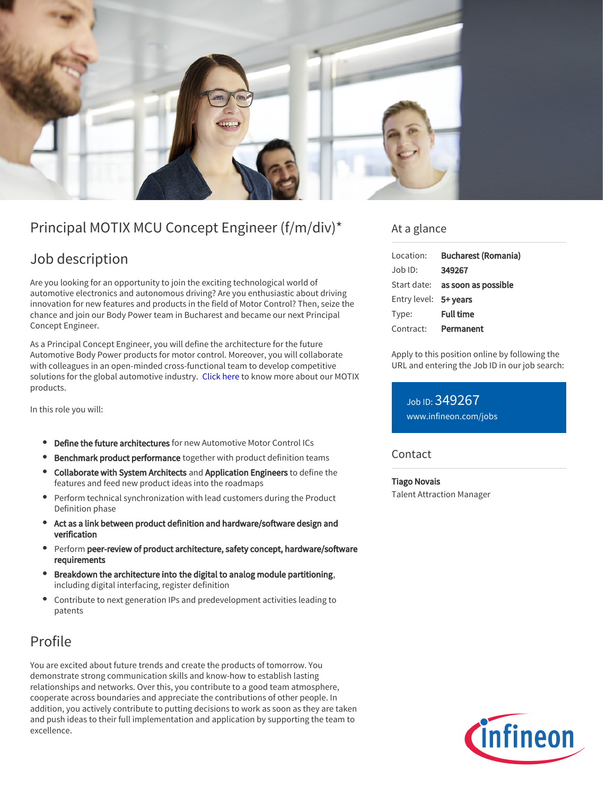

# Principal MOTIX MCU Concept Engineer (f/m/div)\*

### Job description

Are you looking for an opportunity to join the exciting technological world of automotive electronics and autonomous driving? Are you enthusiastic about driving innovation for new features and products in the field of Motor Control? Then, seize the chance and join our Body Power team in Bucharest and became our next Principal Concept Engineer.

As a Principal Concept Engineer, you will define the architecture for the future Automotive Body Power products for motor control. Moreover, you will collaborate with colleagues in an open-minded cross-functional team to develop competitive solutions for the global automotive industry. [Click here](https://www.infineon.com/cms/en/product/technology/motix/) to know more about our MOTIX products.

In this role you will:

- $\bullet$ Define the future architectures for new Automotive Motor Control ICs
- Benchmark product performance together with product definition teams
- Collaborate with System Architects and Application Engineers to define the features and feed new product ideas into the roadmaps
- Perform technical synchronization with lead customers during the Product Definition phase
- Act as a link between product definition and hardware/software design and verification
- Perform peer-review of product architecture, safety concept, hardware/software requirements
- Breakdown the architecture into the digital to analog module partitioning, including digital interfacing, register definition
- Contribute to next generation IPs and predevelopment activities leading to patents

# Profile

You are excited about future trends and create the products of tomorrow. You demonstrate strong communication skills and know-how to establish lasting relationships and networks. Over this, you contribute to a good team atmosphere, cooperate across boundaries and appreciate the contributions of other people. In addition, you actively contribute to putting decisions to work as soon as they are taken and push ideas to their full implementation and application by supporting the team to excellence.

### At a glance

| Location:             | <b>Bucharest (Romania)</b>      |
|-----------------------|---------------------------------|
| Job ID:               | 349267                          |
|                       | Start date: as soon as possible |
| Entry level: 5+ years |                                 |
| Type:                 | <b>Full time</b>                |
| Contract:             | Permanent                       |

Apply to this position online by following the URL and entering the Job ID in our job search:

Job ID: 349267 [www.infineon.com/jobs](https://www.infineon.com/jobs)

### Contact

Tiago Novais Talent Attraction Manager